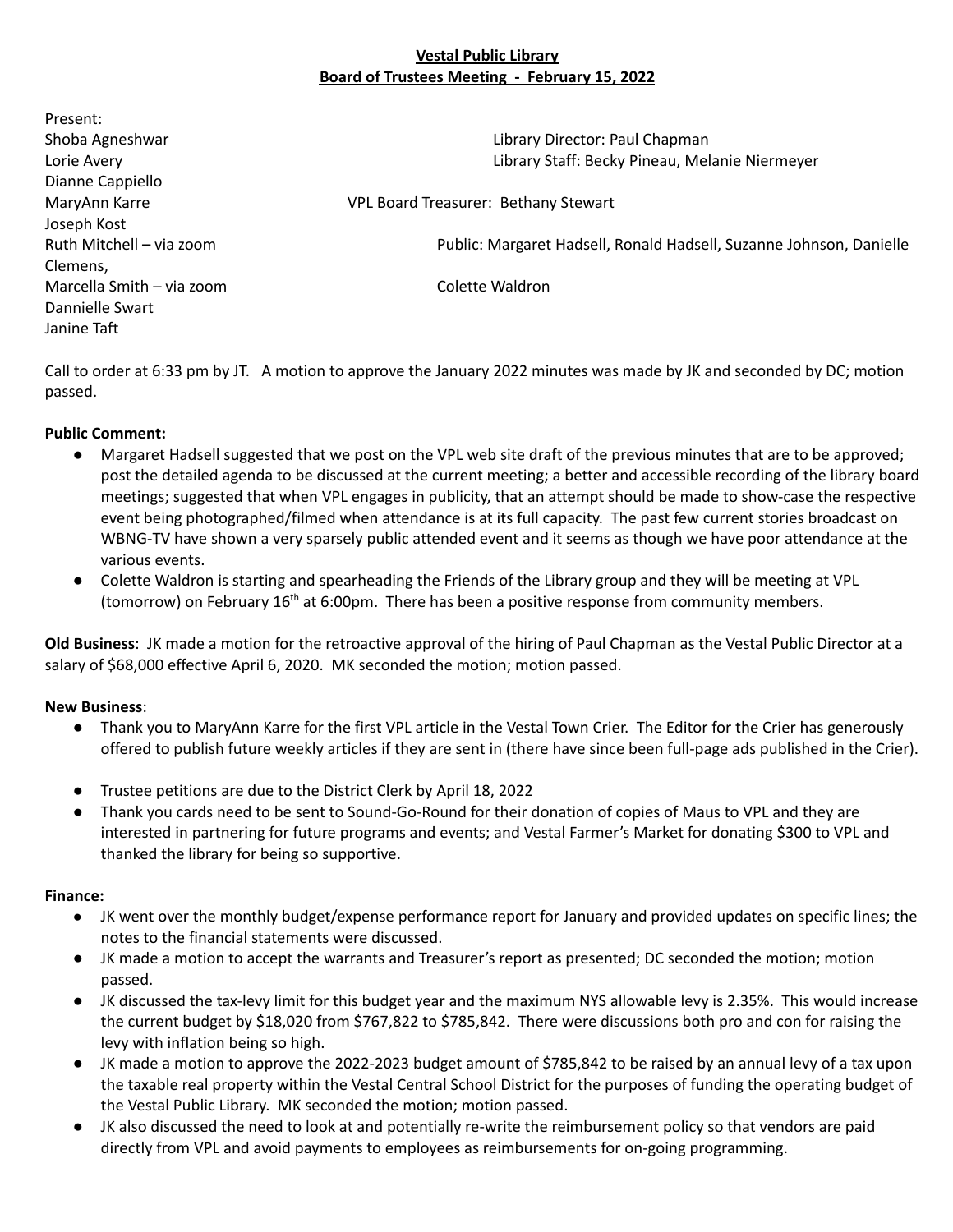# **Vestal Public Library Board of Trustees Meeting - February 15, 2022**

Present: Shoba Agneshwar Library Director: Paul Chapman Lorie Avery Library Staff: Becky Pineau, Melanie Niermeyer Dianne Cappiello MaryAnn Karre **VPL Board Treasurer: Bethany Stewart** Joseph Kost Ruth Mitchell – via zoom Public: Margaret Hadsell, Ronald Hadsell, Suzanne Johnson, Danielle Clemens, Marcella Smith – via zoom Colette Waldron Dannielle Swart Janine Taft

Call to order at 6:33 pm by JT. A motion to approve the January 2022 minutes was made by JK and seconded by DC; motion passed.

# **Public Comment:**

- Margaret Hadsell suggested that we post on the VPL web site draft of the previous minutes that are to be approved; post the detailed agenda to be discussed at the current meeting; a better and accessible recording of the library board meetings; suggested that when VPL engages in publicity, that an attempt should be made to show-case the respective event being photographed/filmed when attendance is at its full capacity. The past few current stories broadcast on WBNG-TV have shown a very sparsely public attended event and it seems as though we have poor attendance at the various events.
- Colette Waldron is starting and spearheading the Friends of the Library group and they will be meeting at VPL (tomorrow) on February  $16<sup>th</sup>$  at 6:00pm. There has been a positive response from community members.

**Old Business**: JK made a motion for the retroactive approval of the hiring of Paul Chapman as the Vestal Public Director at a salary of \$68,000 effective April 6, 2020. MK seconded the motion; motion passed.

# **New Business**:

- Thank you to MaryAnn Karre for the first VPL article in the Vestal Town Crier. The Editor for the Crier has generously offered to publish future weekly articles if they are sent in (there have since been full-page ads published in the Crier).
- Trustee petitions are due to the District Clerk by April 18, 2022
- Thank you cards need to be sent to Sound-Go-Round for their donation of copies of Maus to VPL and they are interested in partnering for future programs and events; and Vestal Farmer's Market for donating \$300 to VPL and thanked the library for being so supportive.

# **Finance:**

- JK went over the monthly budget/expense performance report for January and provided updates on specific lines; the notes to the financial statements were discussed.
- JK made a motion to accept the warrants and Treasurer's report as presented; DC seconded the motion; motion passed.
- JK discussed the tax-levy limit for this budget year and the maximum NYS allowable levy is 2.35%. This would increase the current budget by \$18,020 from \$767,822 to \$785,842. There were discussions both pro and con for raising the levy with inflation being so high.
- JK made a motion to approve the 2022-2023 budget amount of \$785,842 to be raised by an annual levy of a tax upon the taxable real property within the Vestal Central School District for the purposes of funding the operating budget of the Vestal Public Library. MK seconded the motion; motion passed.
- JK also discussed the need to look at and potentially re-write the reimbursement policy so that vendors are paid directly from VPL and avoid payments to employees as reimbursements for on-going programming.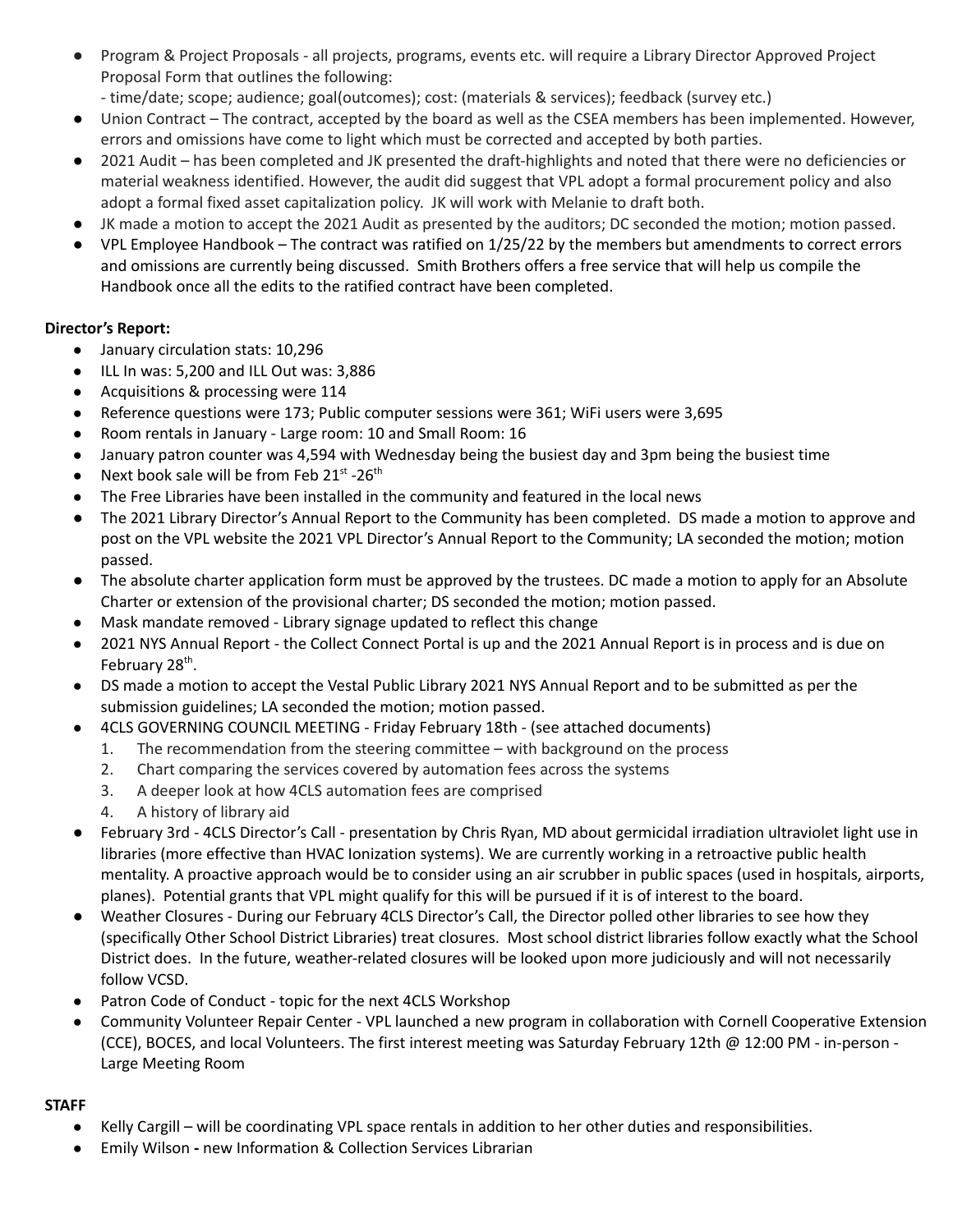- Program & Project Proposals all projects, programs, events etc. will require a Library Director Approved Project Proposal Form that outlines the following:
- time/date; scope; audience; goal(outcomes); cost: (materials & services); feedback (survey etc.)
- Union Contract The contract, accepted by the board as well as the CSEA members has been implemented. However, errors and omissions have come to light which must be corrected and accepted by both parties.
- 2021 Audit has been completed and JK presented the draft-highlights and noted that there were no deficiencies or material weakness identified. However, the audit did suggest that VPL adopt a formal procurement policy and also adopt a formal fixed asset capitalization policy. JK will work with Melanie to draft both.
- JK made a motion to accept the 2021 Audit as presented by the auditors; DC seconded the motion; motion passed.
- VPL Employee Handbook The contract was ratified on 1/25/22 by the members but amendments to correct errors and omissions are currently being discussed. Smith Brothers offers a free service that will help us compile the Handbook once all the edits to the ratified contract have been completed.

# **Director's Report:**

- January circulation stats: 10,296
- ILL In was: 5,200 and ILL Out was: 3,886
- Acquisitions & processing were 114
- Reference questions were 173; Public computer sessions were 361; WiFi users were 3,695
- Room rentals in January Large room: 10 and Small Room: 16
- January patron counter was 4,594 with Wednesday being the busiest day and 3pm being the busiest time
- Next book sale will be from Feb  $21^{st}$  -26<sup>th</sup>
- The Free Libraries have been installed in the community and featured in the local news
- The 2021 Library Director's Annual Report to the Community has been completed. DS made a motion to approve and post on the VPL website the 2021 VPL Director's Annual Report to the Community; LA seconded the motion; motion passed.
- The absolute charter application form must be approved by the trustees. DC made a motion to apply for an Absolute Charter or extension of the provisional charter; DS seconded the motion; motion passed.
- Mask mandate removed Library signage updated to reflect this change
- 2021 NYS Annual Report the Collect Connect Portal is up and the 2021 Annual Report is in process and is due on February 28<sup>th</sup>.
- DS made a motion to accept the Vestal Public Library 2021 NYS Annual Report and to be submitted as per the submission guidelines; LA seconded the motion; motion passed.
- 4CLS GOVERNING COUNCIL MEETING Friday February 18th (see attached documents)
	- 1. The recommendation from the steering committee with background on the process
	- 2. Chart comparing the services covered by automation fees across the systems
	- 3. A deeper look at how 4CLS automation fees are comprised
	- 4. A history of library aid
- February 3rd 4CLS Director's Call presentation by Chris Ryan, MD about germicidal irradiation ultraviolet light use in libraries (more effective than HVAC Ionization systems). We are currently working in a retroactive public health mentality. A proactive approach would be to consider using an air scrubber in public spaces (used in hospitals, airports, planes). Potential grants that VPL might qualify for this will be pursued if it is of interest to the board.
- Weather Closures During our February 4CLS Director's Call, the Director polled other libraries to see how they (specifically Other School District Libraries) treat closures. Most school district libraries follow exactly what the School District does. In the future, weather-related closures will be looked upon more judiciously and will not necessarily follow VCSD.
- Patron Code of Conduct topic for the next 4CLS Workshop
- Community Volunteer Repair Center VPL launched a new program in collaboration with Cornell Cooperative Extension (CCE), BOCES, and local Volunteers. The first interest meeting was Saturday February 12th @ 12:00 PM - in-person - Large Meeting Room

# **STAFF**

- Kelly [Cargill](mailto:kcargill@vestalpubliclibrary.org) will be coordinating VPL space rentals in addition to her other duties and responsibilities.
- Emily Wilson **-** new Information & Collection Services Librarian